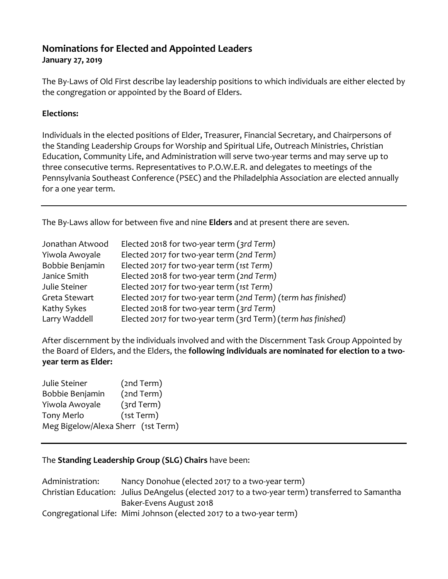## **Nominations for Elected and Appointed Leaders January 27, 2019**

The By-Laws of Old First describe lay leadership positions to which individuals are either elected by the congregation or appointed by the Board of Elders.

## **Elections:**

Individuals in the elected positions of Elder, Treasurer, Financial Secretary, and Chairpersons of the Standing Leadership Groups for Worship and Spiritual Life, Outreach Ministries, Christian Education, Community Life, and Administration will serve two-year terms and may serve up to three consecutive terms. Representatives to P.O.W.E.R. and delegates to meetings of the Pennsylvania Southeast Conference (PSEC) and the Philadelphia Association are elected annually for a one year term.

The By-Laws allow for between five and nine **Elders** and at present there are seven.

| Jonathan Atwood | Elected 2018 for two-year term (3rd Term)                     |
|-----------------|---------------------------------------------------------------|
| Yiwola Awoyale  | Elected 2017 for two-year term (2nd Term)                     |
| Bobbie Benjamin | Elected 2017 for two-year term (1st Term)                     |
| Janice Smith    | Elected 2018 for two-year term (2nd Term)                     |
| Julie Steiner   | Elected 2017 for two-year term (1st Term)                     |
| Greta Stewart   | Elected 2017 for two-year term (2nd Term) (term has finished) |
| Kathy Sykes     | Elected 2018 for two-year term (3rd Term)                     |
| Larry Waddell   | Elected 2017 for two-year term (3rd Term) (term has finished) |

After discernment by the individuals involved and with the Discernment Task Group Appointed by the Board of Elders, and the Elders, the **following individuals are nominated for election to a twoyear term as Elder:**

| Julie Steiner                      | (2nd Term) |
|------------------------------------|------------|
| Bobbie Benjamin                    | (2nd Term) |
| Yiwola Awoyale                     | (3rd Term) |
| Tony Merlo                         | (1st Term) |
| Meg Bigelow/Alexa Sherr (1st Term) |            |

## The **Standing Leadership Group (SLG) Chairs** have been:

| Administration: | Nancy Donohue (elected 2017 to a two-year term)                                                 |  |
|-----------------|-------------------------------------------------------------------------------------------------|--|
|                 | Christian Education: Julius DeAngelus (elected 2017 to a two-year term) transferred to Samantha |  |
|                 | Baker-Evens August 2018                                                                         |  |
|                 | Congregational Life: Mimi Johnson (elected 2017 to a two-year term)                             |  |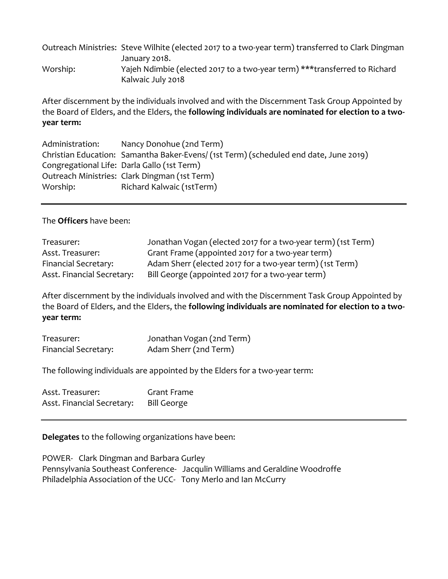|          | Outreach Ministries: Steve Wilhite (elected 2017 to a two-year term) transferred to Clark Dingman |
|----------|---------------------------------------------------------------------------------------------------|
|          | January 2018.                                                                                     |
| Worship: | Yajeh Ndimbie (elected 2017 to a two-year term) ***transferred to Richard                         |
|          | Kalwaic July 2018                                                                                 |

After discernment by the individuals involved and with the Discernment Task Group Appointed by the Board of Elders, and the Elders, the **following individuals are nominated for election to a twoyear term:**

| Administration: | Nancy Donohue (2nd Term)                                                              |
|-----------------|---------------------------------------------------------------------------------------|
|                 | Christian Education: Samantha Baker-Evens/ (1st Term) (scheduled end date, June 2019) |
|                 | Congregational Life: Darla Gallo (1st Term)                                           |
|                 | Outreach Ministries: Clark Dingman (1st Term)                                         |
| Worship:        | Richard Kalwaic (1stTerm)                                                             |

The **Officers** have been:

| Treasurer:                 | Jonathan Vogan (elected 2017 for a two-year term) (1st Term) |
|----------------------------|--------------------------------------------------------------|
| Asst. Treasurer:           | Grant Frame (appointed 2017 for a two-year term)             |
| Financial Secretary:       | Adam Sherr (elected 2017 for a two-year term) (1st Term)     |
| Asst. Financial Secretary: | Bill George (appointed 2017 for a two-year term)             |

After discernment by the individuals involved and with the Discernment Task Group Appointed by the Board of Elders, and the Elders, the **following individuals are nominated for election to a twoyear term:**

| Treasurer:           | Jonathan Vogan (2nd Term) |
|----------------------|---------------------------|
| Financial Secretary: | Adam Sherr (2nd Term)     |

The following individuals are appointed by the Elders for a two-year term:

| Asst. Treasurer:           | <b>Grant Frame</b> |
|----------------------------|--------------------|
| Asst. Financial Secretary: | <b>Bill George</b> |

**Delegates** to the following organizations have been:

POWER- Clark Dingman and Barbara Gurley Pennsylvania Southeast Conference- Jacqulin Williams and Geraldine Woodroffe Philadelphia Association of the UCC- Tony Merlo and Ian McCurry